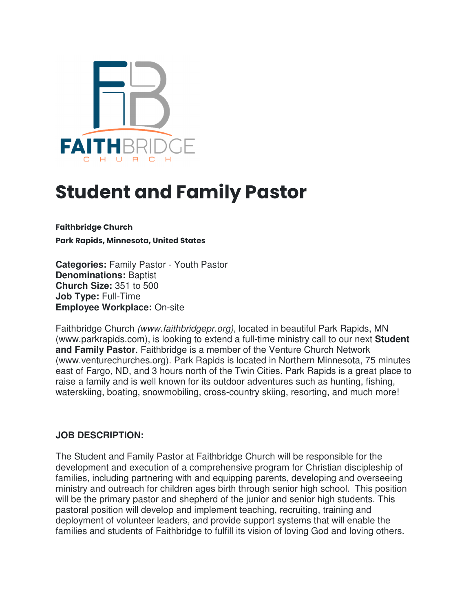

# **Student and Family Pastor**

**Faithbridge Church** 

**Park Rapids, Minnesota, United States** 

**Categories:** Family Pastor - Youth Pastor **Denominations:** Baptist **Church Size:** 351 to 500 **Job Type:** Full-Time **Employee Workplace:** On-site

Faithbridge Church (www.faithbridgepr.org), located in beautiful Park Rapids, MN (www.parkrapids.com), is looking to extend a full-time ministry call to our next **Student and Family Pastor**. Faithbridge is a member of the Venture Church Network (www.venturechurches.org). Park Rapids is located in Northern Minnesota, 75 minutes east of Fargo, ND, and 3 hours north of the Twin Cities. Park Rapids is a great place to raise a family and is well known for its outdoor adventures such as hunting, fishing, waterskiing, boating, snowmobiling, cross-country skiing, resorting, and much more!

#### **JOB DESCRIPTION:**

The Student and Family Pastor at Faithbridge Church will be responsible for the development and execution of a comprehensive program for Christian discipleship of families, including partnering with and equipping parents, developing and overseeing ministry and outreach for children ages birth through senior high school. This position will be the primary pastor and shepherd of the junior and senior high students. This pastoral position will develop and implement teaching, recruiting, training and deployment of volunteer leaders, and provide support systems that will enable the families and students of Faithbridge to fulfill its vision of loving God and loving others.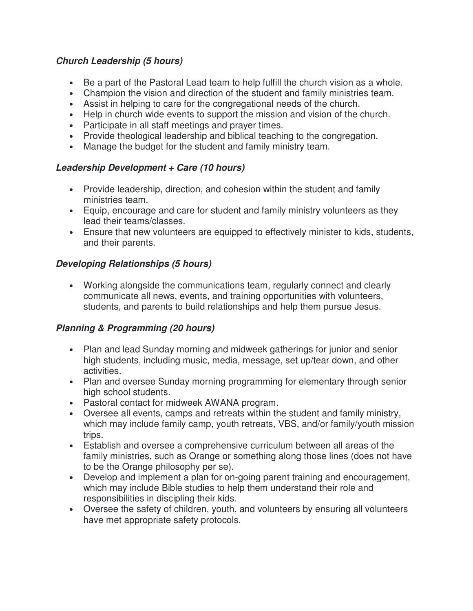#### **Church Leadership (5 hours)**

- Be a part of the Pastoral Lead team to help fulfill the church vision as a whole.
- Champion the vision and direction of the student and family ministries team.
- Assist in helping to care for the congregational needs of the church.
- Help in church wide events to support the mission and vision of the church.
- Participate in all staff meetings and prayer times.
- Provide theological leadership and biblical teaching to the congregation.
- Manage the budget for the student and family ministry team.

#### **Leadership Development + Care (10 hours)**

- Provide leadership, direction, and cohesion within the student and family ministries team.
- Equip, encourage and care for student and family ministry volunteers as they lead their teams/classes.
- Ensure that new volunteers are equipped to effectively minister to kids, students, and their parents.

#### **Developing Relationships (5 hours)**

• Working alongside the communications team, regularly connect and clearly communicate all news, events, and training opportunities with volunteers, students, and parents to build relationships and help them pursue Jesus.

#### **Planning & Programming (20 hours)**

- Plan and lead Sunday morning and midweek gatherings for junior and senior high students, including music, media, message, set up/tear down, and other activities.
- Plan and oversee Sunday morning programming for elementary through senior high school students.
- Pastoral contact for midweek AWANA program.
- Oversee all events, camps and retreats within the student and family ministry, which may include family camp, youth retreats, VBS, and/or family/youth mission trips.
- Establish and oversee a comprehensive curriculum between all areas of the family ministries, such as Orange or something along those lines (does not have to be the Orange philosophy per se).
- Develop and implement a plan for on-going parent training and encouragement, which may include Bible studies to help them understand their role and responsibilities in discipling their kids.
- Oversee the safety of children, youth, and volunteers by ensuring all volunteers have met appropriate safety protocols.